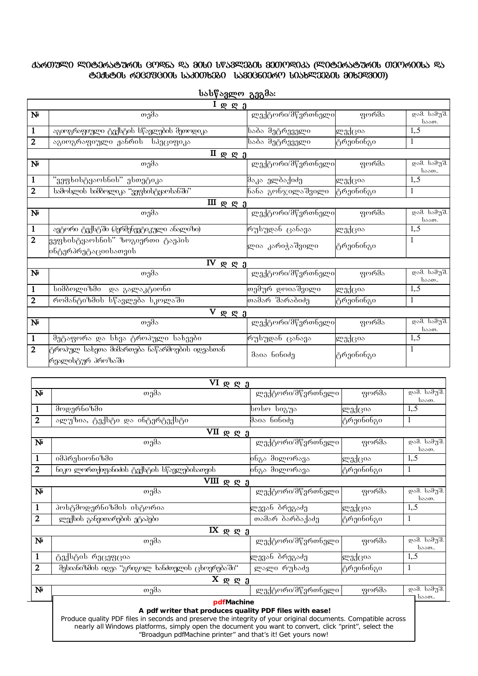## **-** <u>֍Ე</u>ⅆຩ֍ᲘᲡ ᲠᲔᲪᲔᲤᲪᲘᲘᲡ Ს১ᲞᲘᲗᲮᲔᲑᲘ ᲡᲐᲛᲔᲪᲜᲘᲔᲠᲝ ᲡᲘᲐᲮᲚᲔᲔᲑᲘᲡ ᲛᲘᲮᲔᲓᲕᲘᲗ)

| <u>I ღ ღ ე</u>                     |                                                                   |                   |                             |                      |  |  |  |  |
|------------------------------------|-------------------------------------------------------------------|-------------------|-----------------------------|----------------------|--|--|--|--|
| $\mathbf{N}$                       | თემა                                                              | ლექტორი/მწვრთნელი | ფორმა                       | დამ. სამუშ.<br>საათ. |  |  |  |  |
| $\mathbf{1}$                       | აგიოგრაფიული ტექსტის სწავლების მეთოდიკა                           | საბა მეტრეველი    | ლექცია                      | 1, 5                 |  |  |  |  |
| $\mathbf{2}$                       | აგიოგრაფიული ჟანრის სპეციფიკა                                     | საბა მეტრეველი    | ტრეინინგი                   | 1                    |  |  |  |  |
|                                    |                                                                   |                   |                             |                      |  |  |  |  |
| $\mathbf{N}$                       | თემა                                                              | ლექტორი/მწვრთნელი | ფორ $\overline{\partial s}$ | დამ. სამუშ.<br>საათ  |  |  |  |  |
| 1                                  | "ვეფხისტყაოსნის" ესთეტიკა                                         | შაკა ელბაქიძე     | ლექცია                      | 1, .5                |  |  |  |  |
| $\mathbf{2}$                       | სამოსლის სიმბოლიკა "ვეფხისტყაოსანში"                              | ნანა გონჯილაშვილი | ∣ტრეინინგი                  | $\mathbf{1}$         |  |  |  |  |
| $\scriptstyle\rm III$ <u>g g j</u> |                                                                   |                   |                             |                      |  |  |  |  |
| $N_{\rm P}$                        | თემა                                                              | ლექტორი/მწვრთნელი | ფორმა                       | დამ. სამუშ.<br>საათ. |  |  |  |  |
| 1                                  | ავტორი ტექსტში (ჰერმენევტიკული ანალიზი)                           | რუსუდან ცანავა    | ლექცია                      | 1, 5                 |  |  |  |  |
| $\overline{2}$                     | ვეფხისტყაოსნის" ზოგიერთი ტაეპის<br> ინტერპრეტაციისათვის           | ლია კარიჭაშვილი   | ∣ტრეინინგი                  | 1                    |  |  |  |  |
| $IV$ <b>Q</b> $Q$ $1$              |                                                                   |                   |                             |                      |  |  |  |  |
| $\mathbf{N}$                       | თემა                                                              | ლექტორი/მწვრთნელი | ფორმა                       | დამ. სამუშ.<br>საათ  |  |  |  |  |
| $\mathbf{1}$                       | სიმბოლიზმი და გალაკტიონი                                          | თემურ_დოიაშვილი   | ლექცია                      | 1, 5                 |  |  |  |  |
| 2                                  | რომანტიზმის სწავლება სკოლაში                                      | თამარ შარაბიძე    | ტრეინინგი                   | $\mathbf{1}$         |  |  |  |  |
| V.<br>$R$ $R$ $1$                  |                                                                   |                   |                             |                      |  |  |  |  |
| $\mathbf{N}$                       | თემა                                                              | ლექტორი/მწვრთნელი | ფორმა                       | დამ. სამუშ.<br>საათ. |  |  |  |  |
| 1                                  | მეტაფორა და სხვა ტროპული სახეები                                  | რუსუდან ცანავა    | ლექცია                      | 1, 5                 |  |  |  |  |
| 2                                  | ტროპულ სახეთა მიმართება ნაწარმოების იდეასთან<br>რეალისტურ პროზაში | მაია ნინიძე       | ტრეინინგი                   | 1                    |  |  |  |  |

**სასწავლო გეგმა**:

|                           | $VI$ φ <u>φ <math>2</math></u>                                                                                                                                                                                                                                                                  |                   |                    |                         |  |  |  |  |
|---------------------------|-------------------------------------------------------------------------------------------------------------------------------------------------------------------------------------------------------------------------------------------------------------------------------------------------|-------------------|--------------------|-------------------------|--|--|--|--|
| $\mathbf{N}$              | თემა                                                                                                                                                                                                                                                                                            | ლექტორი/მწვრთნელი | ფორმა              | დამ. სამუშ.<br>საათ.    |  |  |  |  |
| 1                         | მოდერნიზმი                                                                                                                                                                                                                                                                                      | სოსო სიგუა        | ლექცია             | 1, .5                   |  |  |  |  |
| 2                         | ალუზია, ტექსტი და ინტერტექსტი                                                                                                                                                                                                                                                                   | მაია ნინიძე       | ტრეინინგი          | 1                       |  |  |  |  |
| $VII \nsubseteq g_0$      |                                                                                                                                                                                                                                                                                                 |                   |                    |                         |  |  |  |  |
| $\mathbf{N}$              | თემა                                                                                                                                                                                                                                                                                            | ლექტორი/მწვრთნელი | ფო <del>რმ</del> ა | დამ. სამუშ.<br>საათ.    |  |  |  |  |
| 1                         | იმპრესიონიზმი                                                                                                                                                                                                                                                                                   | ინგა მილორავა     | ლექცია             | 1, .5                   |  |  |  |  |
| $\overline{2}$            | ნიკო ლორთქიფანიძის ტექსტის სწავლებისათვის                                                                                                                                                                                                                                                       | ინგა მილორავა     | ტრეინინგი          | 1                       |  |  |  |  |
|                           | $VIII$ <u><math>Q</math> <math>Q</math> <math>1</math></u>                                                                                                                                                                                                                                      |                   |                    |                         |  |  |  |  |
| $\mathbf{N}^{\mathsf{p}}$ | თემა                                                                                                                                                                                                                                                                                            | ლექტორი/მწვრთნელი | ფორმა              | დამ. სამუშ.<br>საათ.    |  |  |  |  |
| 1                         | პოსტმოდერნიზმის ისტორია                                                                                                                                                                                                                                                                         | ლევან ბრეგაძე     | ლექცია             | 1, .5                   |  |  |  |  |
| $\mathbf{2}$              | ლექსის განვითარების ეტაპები                                                                                                                                                                                                                                                                     | თამარ ბარბაქაძე   | ტრეინინგი          | 1                       |  |  |  |  |
|                           | $IX$ $R$ $R$ $1$                                                                                                                                                                                                                                                                                |                   |                    |                         |  |  |  |  |
| $\mathbf{N}$              | თემა                                                                                                                                                                                                                                                                                            | ლექტორი/მწვრთნელი | ფორმა              | დამ. სამუშ.<br>საათ     |  |  |  |  |
| 1                         | ტექსტის რეცეფცია                                                                                                                                                                                                                                                                                | ლევან ბრეგაძე     | ლექცია             | 1, .5                   |  |  |  |  |
| $\overline{2}$            | მესიანიზმის იდეა ''გრიგოლ ხანძთელის ცხოვრებაში''                                                                                                                                                                                                                                                | ლალი რუხაძე       | ტრეინინგი          | 1                       |  |  |  |  |
|                           | $X \otimes g \otimes g$                                                                                                                                                                                                                                                                         |                   |                    |                         |  |  |  |  |
| $\mathbf{N}$              | თემა                                                                                                                                                                                                                                                                                            | ლექტორი/მწვრთნელი | ფორმა              | <del>დამ. ს</del> ამუშ. |  |  |  |  |
|                           | pdfMachine<br>A pdf writer that produces quality PDF files with ease!<br>Produce quality PDF files in seconds and preserve the integrity of your original documents. Compatible across<br>nearly all Windows platforms, simply open the document you want to convert, click "print", select the |                   |                    | საათ                    |  |  |  |  |
|                           | "Broadgun pdfMachine printer" and that's it! Get yours now!                                                                                                                                                                                                                                     |                   |                    |                         |  |  |  |  |